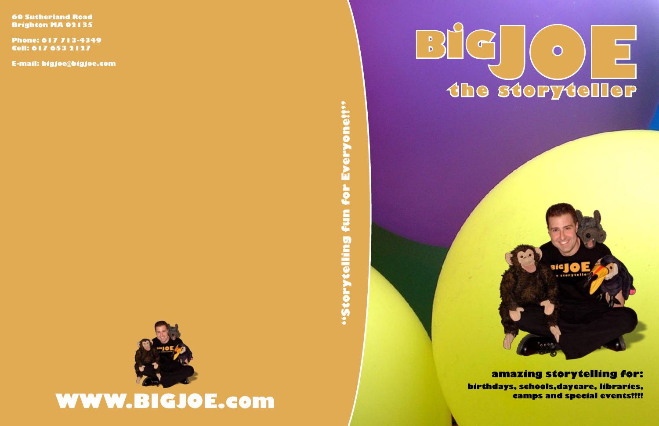**60 Sutherland Road Brighton MA 02135**

**Phone: 617 713-4349 Cell: 617 653 2127**

**E-mail: bigjoe@bigjoe.com**



"Storytelling fun for Everyone!!" **"Storytelling fun for Everyone!!"**





## **WWW.BIGJOE.com**